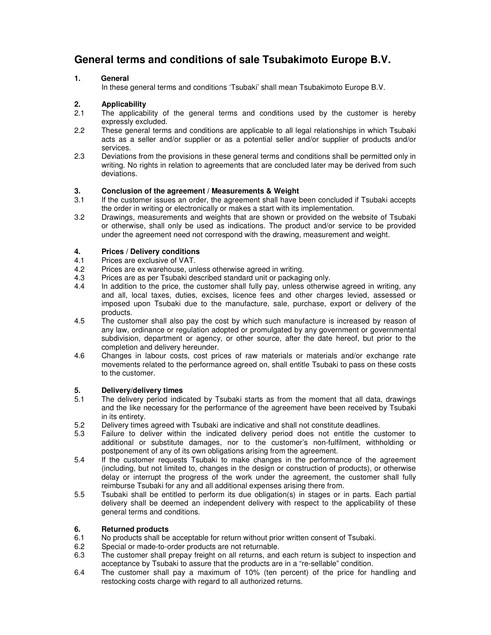### **General terms and conditions of sale Tsubakimoto Europe B.V.**

#### **1. General**

In these general terms and conditions 'Tsubaki' shall mean Tsubakimoto Europe B.V.

### **2. Applicability**

- The applicability of the general terms and conditions used by the customer is hereby expressly excluded.
- 2.2 These general terms and conditions are applicable to all legal relationships in which Tsubaki acts as a seller and/or supplier or as a potential seller and/or supplier of products and/or services.
- 2.3 Deviations from the provisions in these general terms and conditions shall be permitted only in writing. No rights in relation to agreements that are concluded later may be derived from such deviations.

# **3. Conclusion of the agreement / Measurements & Weight**

- If the customer issues an order, the agreement shall have been concluded if Tsubaki accepts the order in writing or electronically or makes a start with its implementation.
- 3.2 Drawings, measurements and weights that are shown or provided on the website of Tsubaki or otherwise, shall only be used as indications. The product and/or service to be provided under the agreement need not correspond with the drawing, measurement and weight.

# **4. Prices / Delivery conditions**

- 4.1 Prices are exclusive of VAT.<br>4.2 Prices are ex warehouse. un
- 
- 4.2 Prices are ex warehouse, unless otherwise agreed in writing.<br>4.3 Prices are as per Tsubaki described standard unit or packagi 4.3 Prices are as per Tsubaki described standard unit or packaging only.<br>4.4 In addition to the price, the customer shall fully pay, unless otherwis
- In addition to the price, the customer shall fully pay, unless otherwise agreed in writing, any and all, local taxes, duties, excises, licence fees and other charges levied, assessed or imposed upon Tsubaki due to the manufacture, sale, purchase, export or delivery of the products.
- 4.5 The customer shall also pay the cost by which such manufacture is increased by reason of any law, ordinance or regulation adopted or promulgated by any government or governmental subdivision, department or agency, or other source, after the date hereof, but prior to the completion and delivery hereunder.
- 4.6 Changes in labour costs, cost prices of raw materials or materials and/or exchange rate movements related to the performance agreed on, shall entitle Tsubaki to pass on these costs to the customer.

### **5. Delivery/delivery times**

- The delivery period indicated by Tsubaki starts as from the moment that all data, drawings and the like necessary for the performance of the agreement have been received by Tsubaki in its entirety.
- 5.2 Delivery times agreed with Tsubaki are indicative and shall not constitute deadlines.
- 5.3 Failure to deliver within the indicated delivery period does not entitle the customer to additional or substitute damages, nor to the customer's non-fulfilment, withholding or postponement of any of its own obligations arising from the agreement.
- 5.4 If the customer requests Tsubaki to make changes in the performance of the agreement (including, but not limited to, changes in the design or construction of products), or otherwise delay or interrupt the progress of the work under the agreement, the customer shall fully reimburse Tsubaki for any and all additional expenses arising there from.
- 5.5 Tsubaki shall be entitled to perform its due obligation(s) in stages or in parts. Each partial delivery shall be deemed an independent delivery with respect to the applicability of these general terms and conditions.

# **6. Returned products**

- 6.1 No products shall be acceptable for return without prior written consent of Tsubaki.<br>6.2 Special or made-to-order products are not returnable.
- Special or made-to-order products are not returnable.
- 6.3 The customer shall prepay freight on all returns, and each return is subject to inspection and acceptance by Tsubaki to assure that the products are in a "re-sellable" condition.
- 6.4 The customer shall pay a maximum of 10% (ten percent) of the price for handling and restocking costs charge with regard to all authorized returns.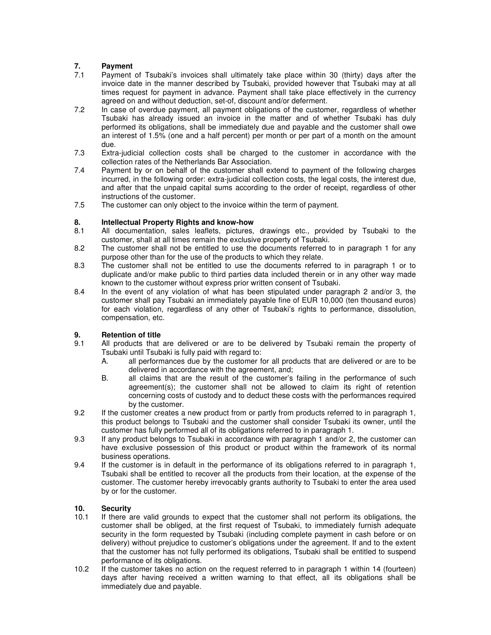# **7. Payment**

- Payment of Tsubaki's invoices shall ultimately take place within 30 (thirty) days after the invoice date in the manner described by Tsubaki, provided however that Tsubaki may at all times request for payment in advance. Payment shall take place effectively in the currency agreed on and without deduction, set-of, discount and/or deferment.
- 7.2 In case of overdue payment, all payment obligations of the customer, regardless of whether Tsubaki has already issued an invoice in the matter and of whether Tsubaki has duly performed its obligations, shall be immediately due and payable and the customer shall owe an interest of 1.5% (one and a half percent) per month or per part of a month on the amount due.
- 7.3 Extra-judicial collection costs shall be charged to the customer in accordance with the collection rates of the Netherlands Bar Association.
- 7.4 Payment by or on behalf of the customer shall extend to payment of the following charges incurred, in the following order: extra-judicial collection costs, the legal costs, the interest due, and after that the unpaid capital sums according to the order of receipt, regardless of other instructions of the customer.
- 7.5 The customer can only object to the invoice within the term of payment.

## **8. Intellectual Property Rights and know-how**

- 8.1 All documentation, sales leaflets, pictures, drawings etc., provided by Tsubaki to the customer, shall at all times remain the exclusive property of Tsubaki.
- 8.2 The customer shall not be entitled to use the documents referred to in paragraph 1 for any purpose other than for the use of the products to which they relate.
- 8.3 The customer shall not be entitled to use the documents referred to in paragraph 1 or to duplicate and/or make public to third parties data included therein or in any other way made known to the customer without express prior written consent of Tsubaki.
- 8.4 In the event of any violation of what has been stipulated under paragraph 2 and/or 3, the customer shall pay Tsubaki an immediately payable fine of EUR 10,000 (ten thousand euros) for each violation, regardless of any other of Tsubaki's rights to performance, dissolution, compensation, etc.

### **9. Retention of title**<br>**9.1** All products that

- All products that are delivered or are to be delivered by Tsubaki remain the property of Tsubaki until Tsubaki is fully paid with regard to:
	- A. all performances due by the customer for all products that are delivered or are to be delivered in accordance with the agreement, and;
	- B. all claims that are the result of the customer's failing in the performance of such agreement(s); the customer shall not be allowed to claim its right of retention concerning costs of custody and to deduct these costs with the performances required by the customer.
- 9.2 If the customer creates a new product from or partly from products referred to in paragraph 1, this product belongs to Tsubaki and the customer shall consider Tsubaki its owner, until the customer has fully performed all of its obligations referred to in paragraph 1.
- 9.3 If any product belongs to Tsubaki in accordance with paragraph 1 and/or 2, the customer can have exclusive possession of this product or product within the framework of its normal business operations.
- 9.4 If the customer is in default in the performance of its obligations referred to in paragraph 1, Tsubaki shall be entitled to recover all the products from their location, at the expense of the customer. The customer hereby irrevocably grants authority to Tsubaki to enter the area used by or for the customer.

# **10. Security**

- If there are valid grounds to expect that the customer shall not perform its obligations, the customer shall be obliged, at the first request of Tsubaki, to immediately furnish adequate security in the form requested by Tsubaki (including complete payment in cash before or on delivery) without prejudice to customer's obligations under the agreement. If and to the extent that the customer has not fully performed its obligations, Tsubaki shall be entitled to suspend performance of its obligations.
- 10.2 If the customer takes no action on the request referred to in paragraph 1 within 14 (fourteen) days after having received a written warning to that effect, all its obligations shall be immediately due and payable.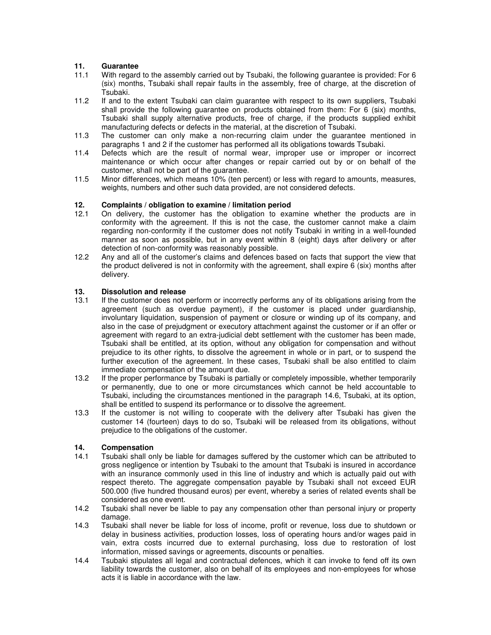### **11. Guarantee**

- With regard to the assembly carried out by Tsubaki, the following guarantee is provided: For 6 (six) months, Tsubaki shall repair faults in the assembly, free of charge, at the discretion of Tsubaki.
- 11.2 If and to the extent Tsubaki can claim guarantee with respect to its own suppliers, Tsubaki shall provide the following guarantee on products obtained from them: For 6 (six) months, Tsubaki shall supply alternative products, free of charge, if the products supplied exhibit manufacturing defects or defects in the material, at the discretion of Tsubaki.
- 11.3 The customer can only make a non-recurring claim under the guarantee mentioned in paragraphs 1 and 2 if the customer has performed all its obligations towards Tsubaki.
- 11.4 Defects which are the result of normal wear, improper use or improper or incorrect maintenance or which occur after changes or repair carried out by or on behalf of the customer, shall not be part of the guarantee.
- 11.5 Minor differences, which means 10% (ten percent) or less with regard to amounts, measures, weights, numbers and other such data provided, are not considered defects.

#### **12. Complaints / obligation to examine / limitation period**

- 12.1 On delivery, the customer has the obligation to examine whether the products are in conformity with the agreement. If this is not the case, the customer cannot make a claim regarding non-conformity if the customer does not notify Tsubaki in writing in a well-founded manner as soon as possible, but in any event within 8 (eight) days after delivery or after detection of non-conformity was reasonably possible.
- 12.2 Any and all of the customer's claims and defences based on facts that support the view that the product delivered is not in conformity with the agreement, shall expire 6 (six) months after delivery.

#### **13. Dissolution and release**

- 13.1 If the customer does not perform or incorrectly performs any of its obligations arising from the agreement (such as overdue payment), if the customer is placed under guardianship, involuntary liquidation, suspension of payment or closure or winding up of its company, and also in the case of prejudgment or executory attachment against the customer or if an offer or agreement with regard to an extra-judicial debt settlement with the customer has been made, Tsubaki shall be entitled, at its option, without any obligation for compensation and without prejudice to its other rights, to dissolve the agreement in whole or in part, or to suspend the further execution of the agreement. In these cases, Tsubaki shall be also entitled to claim immediate compensation of the amount due.
- 13.2 If the proper performance by Tsubaki is partially or completely impossible, whether temporarily or permanently, due to one or more circumstances which cannot be held accountable to Tsubaki, including the circumstances mentioned in the paragraph 14.6, Tsubaki, at its option, shall be entitled to suspend its performance or to dissolve the agreement.
- 13.3 If the customer is not willing to cooperate with the delivery after Tsubaki has given the customer 14 (fourteen) days to do so, Tsubaki will be released from its obligations, without prejudice to the obligations of the customer.

### **14. Compensation**

- 14.1 Tsubaki shall only be liable for damages suffered by the customer which can be attributed to gross negligence or intention by Tsubaki to the amount that Tsubaki is insured in accordance with an insurance commonly used in this line of industry and which is actually paid out with respect thereto. The aggregate compensation payable by Tsubaki shall not exceed EUR 500.000 (five hundred thousand euros) per event, whereby a series of related events shall be considered as one event.
- 14.2 Tsubaki shall never be liable to pay any compensation other than personal injury or property damage.
- 14.3 Tsubaki shall never be liable for loss of income, profit or revenue, loss due to shutdown or delay in business activities, production losses, loss of operating hours and/or wages paid in vain, extra costs incurred due to external purchasing, loss due to restoration of lost information, missed savings or agreements, discounts or penalties.
- 14.4 Tsubaki stipulates all legal and contractual defences, which it can invoke to fend off its own liability towards the customer, also on behalf of its employees and non-employees for whose acts it is liable in accordance with the law.